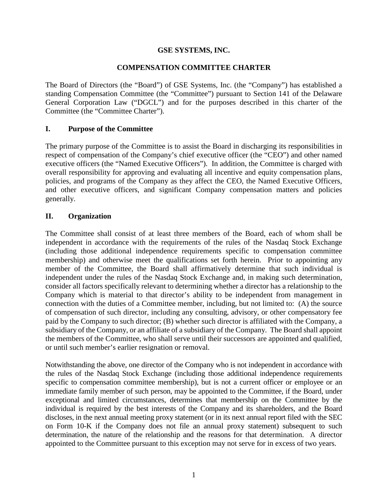### **GSE SYSTEMS, INC.**

### **COMPENSATION COMMITTEE CHARTER**

The Board of Directors (the "Board") of GSE Systems, Inc. (the "Company") has established a standing Compensation Committee (the "Committee") pursuant to Section 141 of the Delaware General Corporation Law ("DGCL") and for the purposes described in this charter of the Committee (the "Committee Charter").

### **I. Purpose of the Committee**

The primary purpose of the Committee is to assist the Board in discharging its responsibilities in respect of compensation of the Company's chief executive officer (the "CEO") and other named executive officers (the "Named Executive Officers"). In addition, the Committee is charged with overall responsibility for approving and evaluating all incentive and equity compensation plans, policies, and programs of the Company as they affect the CEO, the Named Executive Officers, and other executive officers, and significant Company compensation matters and policies generally.

### **II. Organization**

The Committee shall consist of at least three members of the Board, each of whom shall be independent in accordance with the requirements of the rules of the Nasdaq Stock Exchange (including those additional independence requirements specific to compensation committee membership) and otherwise meet the qualifications set forth herein. Prior to appointing any member of the Committee, the Board shall affirmatively determine that such individual is independent under the rules of the Nasdaq Stock Exchange and, in making such determination, consider all factors specifically relevant to determining whether a director has a relationship to the Company which is material to that director's ability to be independent from management in connection with the duties of a Committee member, including, but not limited to: (A) the source of compensation of such director, including any consulting, advisory, or other compensatory fee paid by the Company to such director; (B) whether such director is affiliated with the Company, a subsidiary of the Company, or an affiliate of a subsidiary of the Company. The Board shall appoint the members of the Committee, who shall serve until their successors are appointed and qualified, or until such member's earlier resignation or removal.

Notwithstanding the above, one director of the Company who is not independent in accordance with the rules of the Nasdaq Stock Exchange (including those additional independence requirements specific to compensation committee membership), but is not a current officer or employee or an immediate family member of such person, may be appointed to the Committee, if the Board, under exceptional and limited circumstances, determines that membership on the Committee by the individual is required by the best interests of the Company and its shareholders, and the Board discloses, in the next annual meeting proxy statement (or in its next annual report filed with the SEC on Form 10-K if the Company does not file an annual proxy statement) subsequent to such determination, the nature of the relationship and the reasons for that determination. A director appointed to the Committee pursuant to this exception may not serve for in excess of two years.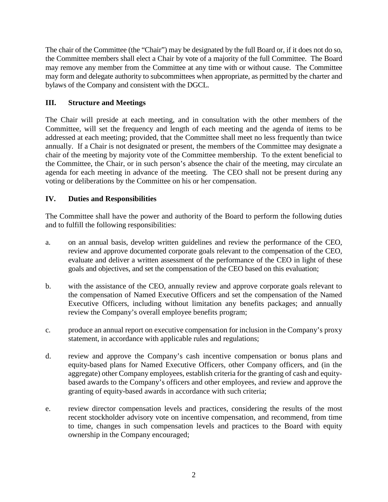The chair of the Committee (the "Chair") may be designated by the full Board or, if it does not do so, the Committee members shall elect a Chair by vote of a majority of the full Committee. The Board may remove any member from the Committee at any time with or without cause. The Committee may form and delegate authority to subcommittees when appropriate, as permitted by the charter and bylaws of the Company and consistent with the DGCL.

### **III. Structure and Meetings**

The Chair will preside at each meeting, and in consultation with the other members of the Committee, will set the frequency and length of each meeting and the agenda of items to be addressed at each meeting; provided, that the Committee shall meet no less frequently than twice annually. If a Chair is not designated or present, the members of the Committee may designate a chair of the meeting by majority vote of the Committee membership. To the extent beneficial to the Committee, the Chair, or in such person's absence the chair of the meeting, may circulate an agenda for each meeting in advance of the meeting. The CEO shall not be present during any voting or deliberations by the Committee on his or her compensation.

## **IV. Duties and Responsibilities**

The Committee shall have the power and authority of the Board to perform the following duties and to fulfill the following responsibilities:

- a. on an annual basis, develop written guidelines and review the performance of the CEO, review and approve documented corporate goals relevant to the compensation of the CEO, evaluate and deliver a written assessment of the performance of the CEO in light of these goals and objectives, and set the compensation of the CEO based on this evaluation;
- b. with the assistance of the CEO, annually review and approve corporate goals relevant to the compensation of Named Executive Officers and set the compensation of the Named Executive Officers, including without limitation any benefits packages; and annually review the Company's overall employee benefits program;
- c. produce an annual report on executive compensation for inclusion in the Company's proxy statement, in accordance with applicable rules and regulations;
- d. review and approve the Company's cash incentive compensation or bonus plans and equity-based plans for Named Executive Officers, other Company officers, and (in the aggregate) other Company employees, establish criteria for the granting of cash and equitybased awards to the Company's officers and other employees, and review and approve the granting of equity-based awards in accordance with such criteria;
- e. review director compensation levels and practices, considering the results of the most recent stockholder advisory vote on incentive compensation, and recommend, from time to time, changes in such compensation levels and practices to the Board with equity ownership in the Company encouraged;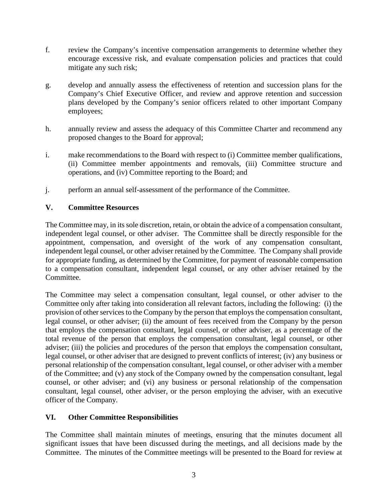- f. review the Company's incentive compensation arrangements to determine whether they encourage excessive risk, and evaluate compensation policies and practices that could mitigate any such risk;
- g. develop and annually assess the effectiveness of retention and succession plans for the Company's Chief Executive Officer, and review and approve retention and succession plans developed by the Company's senior officers related to other important Company employees;
- h. annually review and assess the adequacy of this Committee Charter and recommend any proposed changes to the Board for approval;
- i. make recommendations to the Board with respect to (i) Committee member qualifications, (ii) Committee member appointments and removals, (iii) Committee structure and operations, and (iv) Committee reporting to the Board; and
- j. perform an annual self-assessment of the performance of the Committee.

### **V. Committee Resources**

The Committee may, in its sole discretion, retain, or obtain the advice of a compensation consultant, independent legal counsel, or other adviser. The Committee shall be directly responsible for the appointment, compensation, and oversight of the work of any compensation consultant, independent legal counsel, or other adviser retained by the Committee. The Company shall provide for appropriate funding, as determined by the Committee, for payment of reasonable compensation to a compensation consultant, independent legal counsel, or any other adviser retained by the Committee.

The Committee may select a compensation consultant, legal counsel, or other adviser to the Committee only after taking into consideration all relevant factors, including the following: (i) the provision of other services to the Company by the person that employs the compensation consultant, legal counsel, or other adviser; (ii) the amount of fees received from the Company by the person that employs the compensation consultant, legal counsel, or other adviser, as a percentage of the total revenue of the person that employs the compensation consultant, legal counsel, or other adviser; (iii) the policies and procedures of the person that employs the compensation consultant, legal counsel, or other adviser that are designed to prevent conflicts of interest; (iv) any business or personal relationship of the compensation consultant, legal counsel, or other adviser with a member of the Committee; and (v) any stock of the Company owned by the compensation consultant, legal counsel, or other adviser; and (vi) any business or personal relationship of the compensation consultant, legal counsel, other adviser, or the person employing the adviser, with an executive officer of the Company.

#### **VI. Other Committee Responsibilities**

The Committee shall maintain minutes of meetings, ensuring that the minutes document all significant issues that have been discussed during the meetings, and all decisions made by the Committee. The minutes of the Committee meetings will be presented to the Board for review at